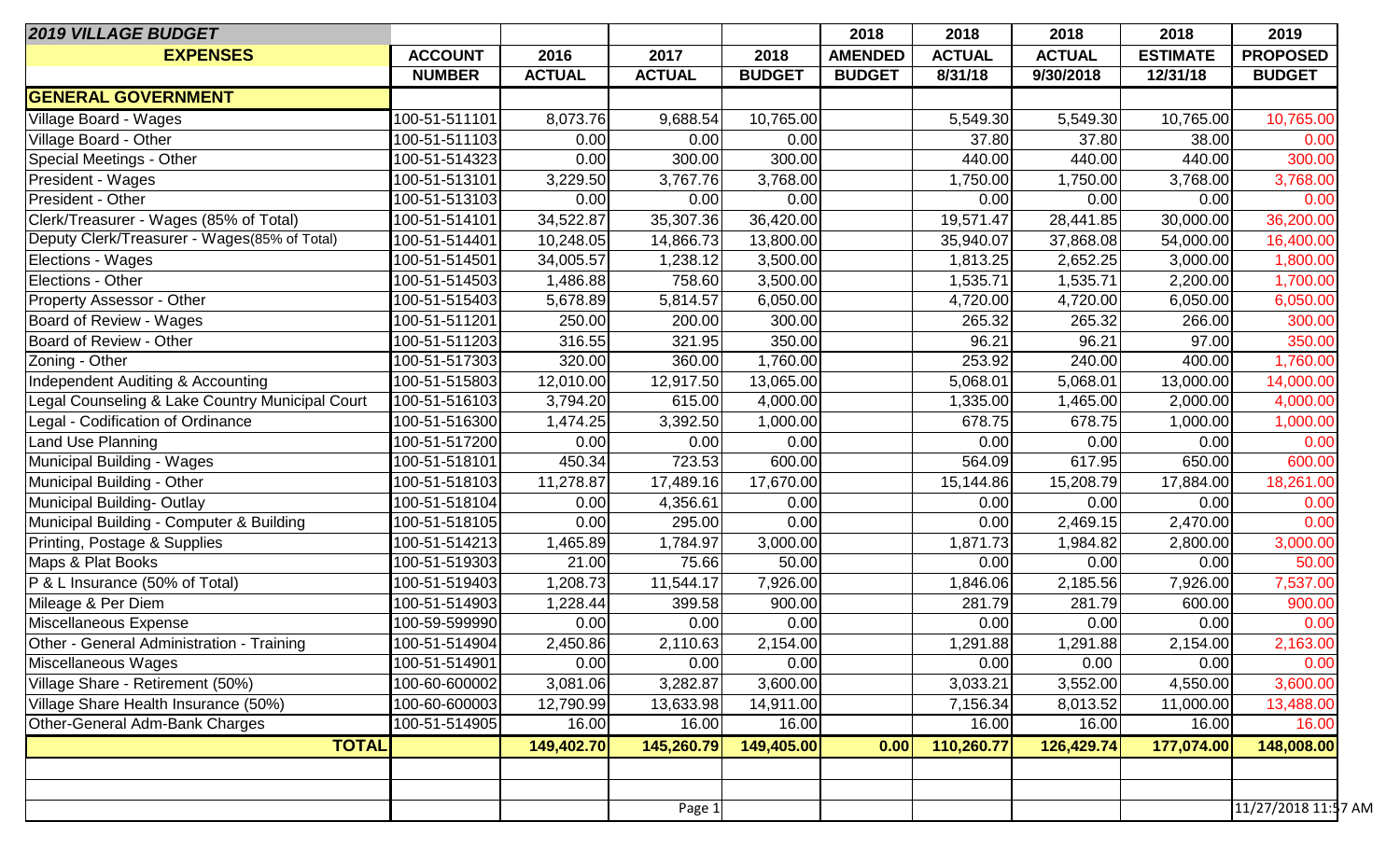| <b>2019 VILLAGE BUDGET</b>                      |                |               |               |               | 2018           | 2018          | 2018          | 2018            | 2019                |
|-------------------------------------------------|----------------|---------------|---------------|---------------|----------------|---------------|---------------|-----------------|---------------------|
| <b>EXPENSES</b>                                 | <b>ACCOUNT</b> | 2016          | 2017          | 2018          | <b>AMENDED</b> | <b>ACTUAL</b> | <b>ACTUAL</b> | <b>ESTIMATE</b> | <b>PROPOSED</b>     |
|                                                 | <b>NUMBER</b>  | <b>ACTUAL</b> | <b>ACTUAL</b> | <b>BUDGET</b> | <b>BUDGET</b>  | 8/31/18       | 9/30/2018     | 12/31/18        | <b>BUDGET</b>       |
| <b>GENERAL GOVERNMENT</b>                       |                |               |               |               |                |               |               |                 |                     |
| Village Board - Wages                           | 100-51-511101  | 8,073.76      | 9,688.54      | 10,765.00     |                | 5,549.30      | 5,549.30      | 10,765.00       | 10,765.00           |
| Village Board - Other                           | 100-51-511103  | 0.00          | 0.00          | 0.00          |                | 37.80         | 37.80         | 38.00           | 0.00                |
| Special Meetings - Other                        | 100-51-514323  | 0.00          | 300.00        | 300.00        |                | 440.00        | 440.00        | 440.00          | 300.00              |
| President - Wages                               | 100-51-513101  | 3,229.50      | 3,767.76      | 3,768.00      |                | 1,750.00      | 1,750.00      | 3,768.00        | 3,768.00            |
| President - Other                               | 100-51-513103  | 0.00          | 0.00          | 0.00          |                | 0.00          | 0.00          | 0.00            | 0.00                |
| Clerk/Treasurer - Wages (85% of Total)          | 100-51-514101  | 34,522.87     | 35,307.36     | 36,420.00     |                | 19,571.47     | 28,441.85     | 30,000.00       | 36,200.00           |
| Deputy Clerk/Treasurer - Wages(85% of Total)    | 100-51-514401  | 10,248.05     | 14,866.73     | 13,800.00     |                | 35,940.07     | 37,868.08     | 54,000.00       | 16,400.00           |
| Elections - Wages                               | 100-51-514501  | 34,005.57     | 1,238.12      | 3,500.00      |                | 1,813.25      | 2,652.25      | 3,000.00        | 1,800.00            |
| <b>Elections - Other</b>                        | 100-51-514503  | 1,486.88      | 758.60        | 3,500.00      |                | 1,535.71      | 1,535.71      | 2,200.00        | 1,700.00            |
| <b>Property Assessor - Other</b>                | 100-51-515403  | 5,678.89      | 5,814.57      | 6,050.00      |                | 4,720.00      | 4,720.00      | 6,050.00        | 6,050.00            |
| Board of Review - Wages                         | 100-51-511201  | 250.00        | 200.00        | 300.00        |                | 265.32        | 265.32        | 266.00          | 300.00              |
| Board of Review - Other                         | 100-51-511203  | 316.55        | 321.95        | 350.00        |                | 96.21         | 96.21         | 97.00           | 350.00              |
| Zoning - Other                                  | 100-51-517303  | 320.00        | 360.00        | 1,760.00      |                | 253.92        | 240.00        | 400.00          | 1,760.00            |
| Independent Auditing & Accounting               | 100-51-515803  | 12,010.00     | 12,917.50     | 13,065.00     |                | 5,068.01      | 5,068.01      | 13,000.00       | 14,000.00           |
| Legal Counseling & Lake Country Municipal Court | 100-51-516103  | 3,794.20      | 615.00        | 4,000.00      |                | 1,335.00      | 1,465.00      | 2,000.00        | 4,000.00            |
| Legal - Codification of Ordinance               | 100-51-516300  | 1,474.25      | 3,392.50      | 1,000.00      |                | 678.75        | 678.75        | 1,000.00        | 1,000.00            |
| <b>Land Use Planning</b>                        | 100-51-517200  | 0.00          | 0.00          | 0.00          |                | 0.00          | 0.00          | 0.00            | 0.00                |
| Municipal Building - Wages                      | 100-51-518101  | 450.34        | 723.53        | 600.00        |                | 564.09        | 617.95        | 650.00          | 600.00              |
| Municipal Building - Other                      | 100-51-518103  | 11,278.87     | 17,489.16     | 17,670.00     |                | 15,144.86     | 15,208.79     | 17,884.00       | 18,261.00           |
| Municipal Building-Outlay                       | 100-51-518104  | 0.00          | 4,356.61      | 0.00          |                | 0.00          | 0.00          | 0.00            | 0.00                |
| Municipal Building - Computer & Building        | 100-51-518105  | 0.00          | 295.00        | 0.00          |                | 0.00          | 2,469.15      | 2,470.00        | 0.00                |
| Printing, Postage & Supplies                    | 100-51-514213  | 1,465.89      | 1,784.97      | 3,000.00      |                | 1,871.73      | 1,984.82      | 2,800.00        | 3,000.00            |
| Maps & Plat Books                               | 100-51-519303  | 21.00         | 75.66         | 50.00         |                | 0.00          | 0.00          | 0.00            | 50.00               |
| P & L Insurance (50% of Total)                  | 100-51-519403  | 1,208.73      | 11,544.17     | 7,926.00      |                | 1,846.06      | 2,185.56      | 7,926.00        | 7,537.00            |
| Mileage & Per Diem                              | 100-51-514903  | 1,228.44      | 399.58        | 900.00        |                | 281.79        | 281.79        | 600.00          | 900.00              |
| Miscellaneous Expense                           | 100-59-599990  | 0.00          | 0.00          | 0.00          |                | 0.00          | 0.00          | 0.00            | 0.00                |
| Other - General Administration - Training       | 100-51-514904  | 2,450.86      | 2,110.63      | 2,154.00      |                | 1,291.88      | 1,291.88      | 2,154.00        | 2,163.00            |
| Miscellaneous Wages                             | 100-51-514901  | 0.00          | 0.00          | 0.00          |                | 0.00          | 0.00          | 0.00            | 0.00                |
| Village Share - Retirement (50%)                | 100-60-600002  | 3,081.06      | 3,282.87      | 3,600.00      |                | 3,033.21      | 3,552.00      | 4,550.00        | 3,600.00            |
| Village Share Health Insurance (50%)            | 100-60-600003  | 12,790.99     | 13,633.98     | 14,911.00     |                | 7,156.34      | 8,013.52      | 11,000.00       | 13,488.00           |
| Other-General Adm-Bank Charges                  | 100-51-514905  | 16.00         | 16.00         | 16.00         |                | 16.00         | 16.00         | 16.00           | 16.00               |
| <b>TOTAL</b>                                    |                | 149,402.70    | 145,260.79    | 149,405.00    | 0.00           | 110,260.77    | 126,429.74    | 177,074.00      | 148,008.00          |
|                                                 |                |               |               |               |                |               |               |                 |                     |
|                                                 |                |               |               |               |                |               |               |                 |                     |
|                                                 |                |               | Page 1        |               |                |               |               |                 | 11/27/2018 11:57 AM |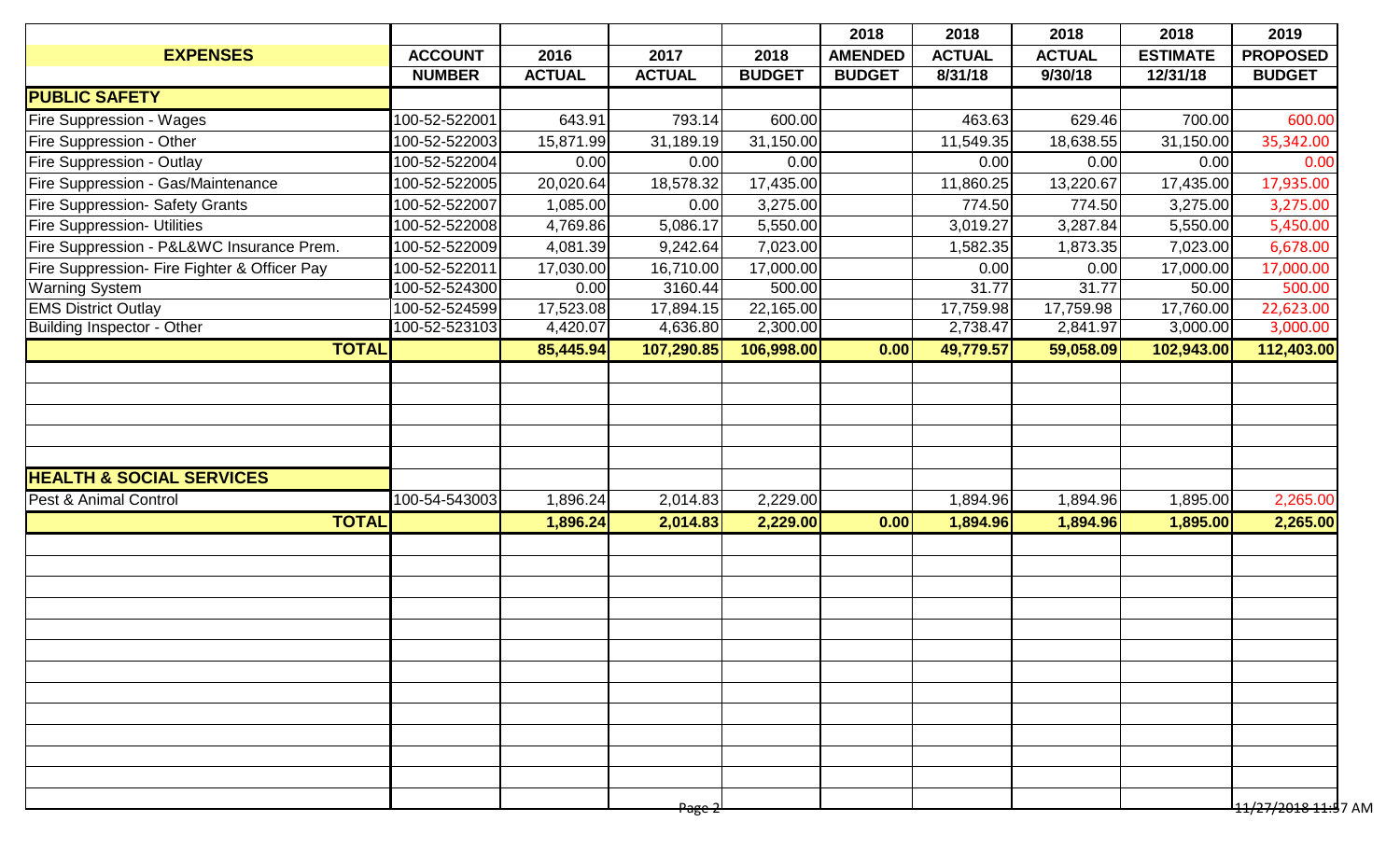| <b>ACCOUNT</b><br><b>NUMBER</b><br>100-52-522001<br>100-52-522003<br>100-52-522004<br>100-52-522005<br>100-52-522007<br>100-52-522008<br>100-52-522009<br>100-52-522011 | 2016<br><b>ACTUAL</b><br>643.91<br>15,871.99<br>0.00<br>20,020.64<br>1,085.00<br>4,769.86 | 2017<br><b>ACTUAL</b><br>793.14<br>31,189.19<br>0.00<br>18,578.32<br>0.00 | 2018<br><b>BUDGET</b><br>600.00<br>31,150.00<br>0.00<br>17,435.00 | <b>AMENDED</b><br><b>BUDGET</b> | <b>ACTUAL</b><br>8/31/18<br>463.63<br>11,549.35<br>0.00 | <b>ACTUAL</b><br>9/30/18<br>629.46<br>18,638.55<br>0.00 | <b>ESTIMATE</b><br>12/31/18<br>700.00<br>31,150.00 | <b>PROPOSED</b><br><b>BUDGET</b><br>600.00<br>35,342.00 |
|-------------------------------------------------------------------------------------------------------------------------------------------------------------------------|-------------------------------------------------------------------------------------------|---------------------------------------------------------------------------|-------------------------------------------------------------------|---------------------------------|---------------------------------------------------------|---------------------------------------------------------|----------------------------------------------------|---------------------------------------------------------|
|                                                                                                                                                                         |                                                                                           |                                                                           |                                                                   |                                 |                                                         |                                                         |                                                    |                                                         |
|                                                                                                                                                                         |                                                                                           |                                                                           |                                                                   |                                 |                                                         |                                                         |                                                    |                                                         |
|                                                                                                                                                                         |                                                                                           |                                                                           |                                                                   |                                 |                                                         |                                                         |                                                    |                                                         |
|                                                                                                                                                                         |                                                                                           |                                                                           |                                                                   |                                 |                                                         |                                                         |                                                    |                                                         |
|                                                                                                                                                                         |                                                                                           |                                                                           |                                                                   |                                 |                                                         |                                                         |                                                    |                                                         |
|                                                                                                                                                                         |                                                                                           |                                                                           |                                                                   |                                 |                                                         |                                                         | 0.00                                               | 0.00                                                    |
|                                                                                                                                                                         |                                                                                           |                                                                           |                                                                   |                                 | 11,860.25                                               | 13,220.67                                               | 17,435.00                                          | 17,935.00                                               |
|                                                                                                                                                                         |                                                                                           |                                                                           | 3,275.00                                                          |                                 | 774.50                                                  | 774.50                                                  | 3,275.00                                           | 3,275.00                                                |
|                                                                                                                                                                         |                                                                                           | 5,086.17                                                                  | 5,550.00                                                          |                                 | 3,019.27                                                | 3,287.84                                                | 5,550.00                                           | 5,450.00                                                |
|                                                                                                                                                                         | 4,081.39                                                                                  | 9,242.64                                                                  | 7,023.00                                                          |                                 | 1,582.35                                                | 1,873.35                                                | 7,023.00                                           | 6,678.00                                                |
|                                                                                                                                                                         | 17,030.00                                                                                 | 16,710.00                                                                 | 17,000.00                                                         |                                 | 0.00                                                    | 0.00                                                    | 17,000.00                                          | 17,000.00                                               |
| 100-52-524300                                                                                                                                                           | 0.00                                                                                      | 3160.44                                                                   | 500.00                                                            |                                 | 31.77                                                   | 31.77                                                   | 50.00                                              | 500.00                                                  |
| 100-52-524599                                                                                                                                                           | 17,523.08                                                                                 | 17,894.15                                                                 | 22,165.00                                                         |                                 | 17,759.98                                               | 17,759.98                                               | 17,760.00                                          | 22,623.00                                               |
| 100-52-523103                                                                                                                                                           | 4,420.07                                                                                  |                                                                           |                                                                   |                                 |                                                         |                                                         |                                                    | 3,000.00                                                |
|                                                                                                                                                                         | 85,445.94                                                                                 | 107,290.85                                                                |                                                                   | 0.00                            | 49,779.57                                               | 59,058.09                                               |                                                    | 112,403.00                                              |
|                                                                                                                                                                         |                                                                                           |                                                                           |                                                                   |                                 |                                                         |                                                         |                                                    |                                                         |
|                                                                                                                                                                         |                                                                                           |                                                                           |                                                                   |                                 |                                                         |                                                         |                                                    |                                                         |
|                                                                                                                                                                         |                                                                                           |                                                                           |                                                                   |                                 |                                                         |                                                         |                                                    |                                                         |
|                                                                                                                                                                         |                                                                                           |                                                                           |                                                                   |                                 |                                                         |                                                         |                                                    |                                                         |
|                                                                                                                                                                         |                                                                                           |                                                                           |                                                                   |                                 |                                                         |                                                         |                                                    |                                                         |
| 100-54-543003                                                                                                                                                           | 1,896.24                                                                                  | 2,014.83                                                                  | 2,229.00                                                          |                                 | 1,894.96                                                | 1,894.96                                                | 1,895.00                                           | 2,265.00                                                |
|                                                                                                                                                                         | 1,896.24                                                                                  | 2,014.83                                                                  | 2,229.00                                                          | 0.00                            | 1,894.96                                                | 1,894.96                                                |                                                    | 2,265.00                                                |
|                                                                                                                                                                         |                                                                                           |                                                                           |                                                                   |                                 |                                                         |                                                         |                                                    |                                                         |
|                                                                                                                                                                         |                                                                                           |                                                                           |                                                                   |                                 |                                                         |                                                         |                                                    |                                                         |
|                                                                                                                                                                         |                                                                                           |                                                                           |                                                                   |                                 |                                                         |                                                         |                                                    |                                                         |
|                                                                                                                                                                         |                                                                                           |                                                                           |                                                                   |                                 |                                                         |                                                         |                                                    |                                                         |
|                                                                                                                                                                         |                                                                                           |                                                                           |                                                                   |                                 |                                                         |                                                         |                                                    |                                                         |
|                                                                                                                                                                         |                                                                                           |                                                                           |                                                                   |                                 |                                                         |                                                         |                                                    |                                                         |
|                                                                                                                                                                         |                                                                                           |                                                                           |                                                                   |                                 |                                                         |                                                         |                                                    |                                                         |
|                                                                                                                                                                         |                                                                                           |                                                                           |                                                                   |                                 |                                                         |                                                         |                                                    |                                                         |
|                                                                                                                                                                         |                                                                                           |                                                                           |                                                                   |                                 |                                                         |                                                         |                                                    |                                                         |
|                                                                                                                                                                         |                                                                                           |                                                                           |                                                                   |                                 |                                                         |                                                         |                                                    |                                                         |
|                                                                                                                                                                         |                                                                                           |                                                                           |                                                                   |                                 |                                                         |                                                         |                                                    |                                                         |
|                                                                                                                                                                         |                                                                                           |                                                                           |                                                                   |                                 |                                                         |                                                         |                                                    |                                                         |
|                                                                                                                                                                         |                                                                                           |                                                                           |                                                                   |                                 |                                                         |                                                         |                                                    | <del>11/27/2018 11:5</del> 7 AM                         |
|                                                                                                                                                                         |                                                                                           |                                                                           | 4,636.80<br><del>Page 2</del>                                     | 2,300.00                        | 106,998.00                                              | 2,738.47                                                | 2,841.97                                           | 3,000.00<br>102,943.00<br>1,895.00                      |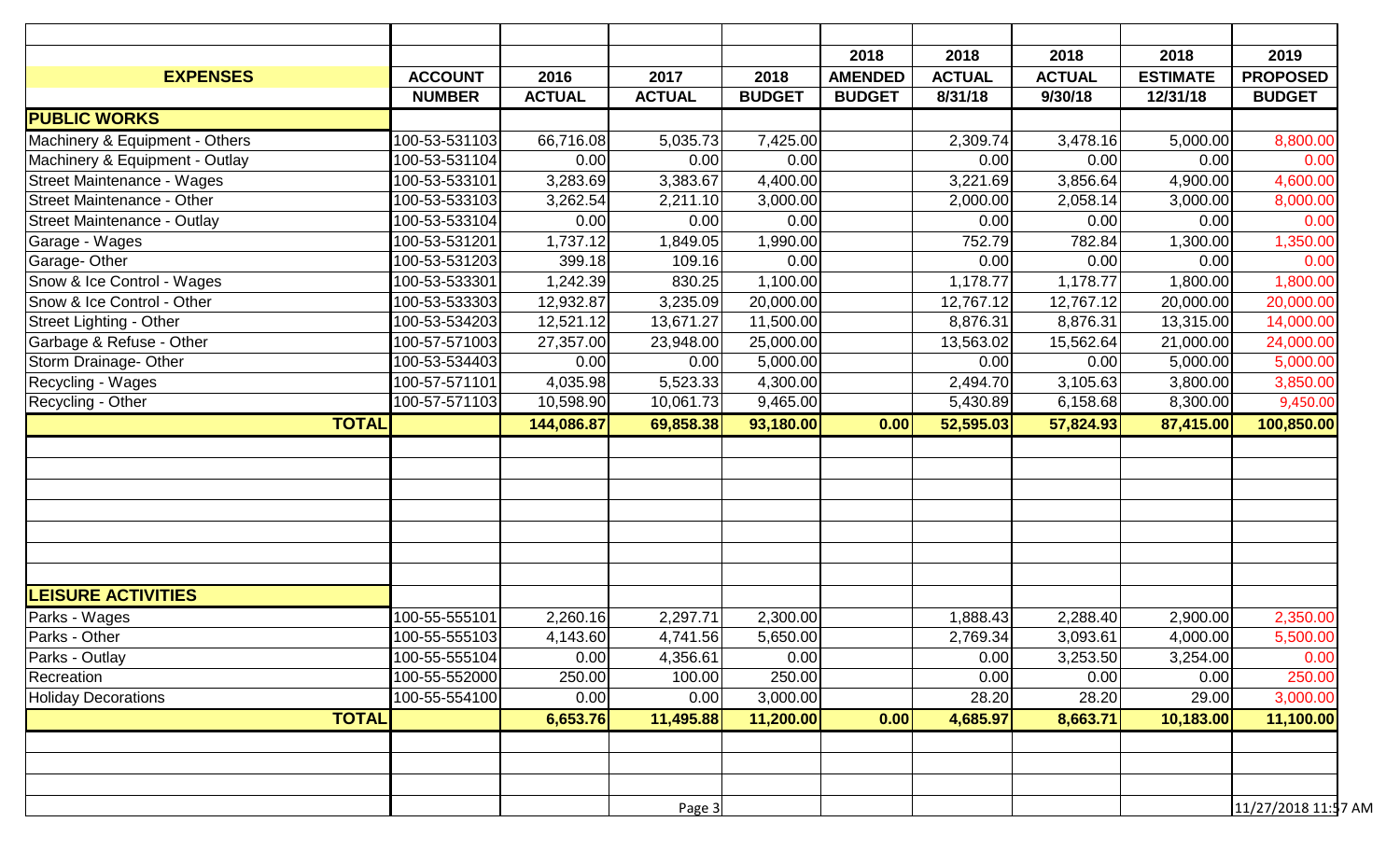|                                    |                |               |               |               | 2018           | 2018          | 2018          | 2018            | 2019                |
|------------------------------------|----------------|---------------|---------------|---------------|----------------|---------------|---------------|-----------------|---------------------|
| <b>EXPENSES</b>                    | <b>ACCOUNT</b> | 2016          | 2017          | 2018          | <b>AMENDED</b> | <b>ACTUAL</b> | <b>ACTUAL</b> | <b>ESTIMATE</b> | <b>PROPOSED</b>     |
|                                    | <b>NUMBER</b>  | <b>ACTUAL</b> | <b>ACTUAL</b> | <b>BUDGET</b> | <b>BUDGET</b>  | 8/31/18       | 9/30/18       | 12/31/18        | <b>BUDGET</b>       |
| <b>PUBLIC WORKS</b>                |                |               |               |               |                |               |               |                 |                     |
| Machinery & Equipment - Others     | 100-53-531103  | 66,716.08     | 5,035.73      | 7,425.00      |                | 2,309.74      | 3,478.16      | 5,000.00        | 8,800.00            |
| Machinery & Equipment - Outlay     | 100-53-531104  | 0.00          | 0.00          | 0.00          |                | 0.00          | 0.00          | 0.00            | 0.00                |
| <b>Street Maintenance - Wages</b>  | 100-53-533101  | 3,283.69      | 3,383.67      | 4,400.00      |                | 3,221.69      | 3,856.64      | 4,900.00        | 4,600.00            |
| <b>Street Maintenance - Other</b>  | 100-53-533103  | 3,262.54      | 2,211.10      | 3,000.00      |                | 2,000.00      | 2,058.14      | 3,000.00        | 8,000.00            |
| <b>Street Maintenance - Outlay</b> | 100-53-533104  | 0.00          | 0.00          | 0.00          |                | 0.00          | 0.00          | 0.00            | 0.00                |
| Garage - Wages                     | 100-53-531201  | 1,737.12      | 1,849.05      | 1,990.00      |                | 752.79        | 782.84        | 1,300.00        | 1,350.00            |
| Garage-Other                       | 100-53-531203  | 399.18        | 109.16        | 0.00          |                | 0.00          | 0.00          | 0.00            | 0.00                |
| Snow & Ice Control - Wages         | 100-53-533301  | 1,242.39      | 830.25        | 1,100.00      |                | 1,178.77      | 1,178.77      | 1,800.00        | 1,800.00            |
| Snow & Ice Control - Other         | 100-53-533303  | 12,932.87     | 3,235.09      | 20,000.00     |                | 12,767.12     | 12,767.12     | 20,000.00       | 20,000.00           |
| Street Lighting - Other            | 100-53-534203  | 12,521.12     | 13,671.27     | 11,500.00     |                | 8,876.31      | 8,876.31      | 13,315.00       | 14,000.00           |
| Garbage & Refuse - Other           | 100-57-571003  | 27,357.00     | 23,948.00     | 25,000.00     |                | 13,563.02     | 15,562.64     | 21,000.00       | 24,000.00           |
| Storm Drainage- Other              | 100-53-534403  | 0.00          | 0.00          | 5,000.00      |                | 0.00          | 0.00          | 5,000.00        | 5,000.00            |
| Recycling - Wages                  | 100-57-571101  | 4,035.98      | 5,523.33      | 4,300.00      |                | 2,494.70      | 3,105.63      | 3,800.00        | 3,850.00            |
| Recycling - Other                  | 100-57-571103  | 10,598.90     | 10,061.73     | 9,465.00      |                | 5,430.89      | 6,158.68      | 8,300.00        | 9,450.00            |
| <b>TOTAL</b>                       |                | 144,086.87    | 69,858.38     | 93,180.00     | 0.00           | 52,595.03     | 57,824.93     | 87,415.00       | 100,850.00          |
|                                    |                |               |               |               |                |               |               |                 |                     |
|                                    |                |               |               |               |                |               |               |                 |                     |
|                                    |                |               |               |               |                |               |               |                 |                     |
|                                    |                |               |               |               |                |               |               |                 |                     |
|                                    |                |               |               |               |                |               |               |                 |                     |
|                                    |                |               |               |               |                |               |               |                 |                     |
|                                    |                |               |               |               |                |               |               |                 |                     |
| <b>LEISURE ACTIVITIES</b>          |                |               |               |               |                |               |               |                 |                     |
| Parks - Wages                      | 100-55-555101  | 2,260.16      | 2,297.71      | 2,300.00      |                | 1,888.43      | 2,288.40      | 2,900.00        | 2,350.00            |
| Parks - Other                      | 100-55-555103  | 4,143.60      | 4,741.56      | 5,650.00      |                | 2,769.34      | 3,093.61      | 4,000.00        | 5,500.00            |
| Parks - Outlay                     | 100-55-555104  | 0.00          | 4,356.61      | 0.00          |                | 0.00          | 3,253.50      | 3,254.00        | 0.00                |
| Recreation                         | 100-55-552000  | 250.00        | 100.00        | 250.00        |                | 0.00          | 0.00          | 0.00            | 250.00              |
| <b>Holiday Decorations</b>         | 100-55-554100  | 0.00          | 0.00          | 3,000.00      |                | 28.20         | 28.20         | 29.00           | 3,000.00            |
| <b>TOTAL</b>                       |                | 6,653.76      | 11,495.88     | 11,200.00     | 0.00           | 4,685.97      | 8,663.71      | 10,183.00       | 11,100.00           |
|                                    |                |               |               |               |                |               |               |                 |                     |
|                                    |                |               |               |               |                |               |               |                 |                     |
|                                    |                |               |               |               |                |               |               |                 |                     |
|                                    |                |               | Page 3        |               |                |               |               |                 | 11/27/2018 11:57 AM |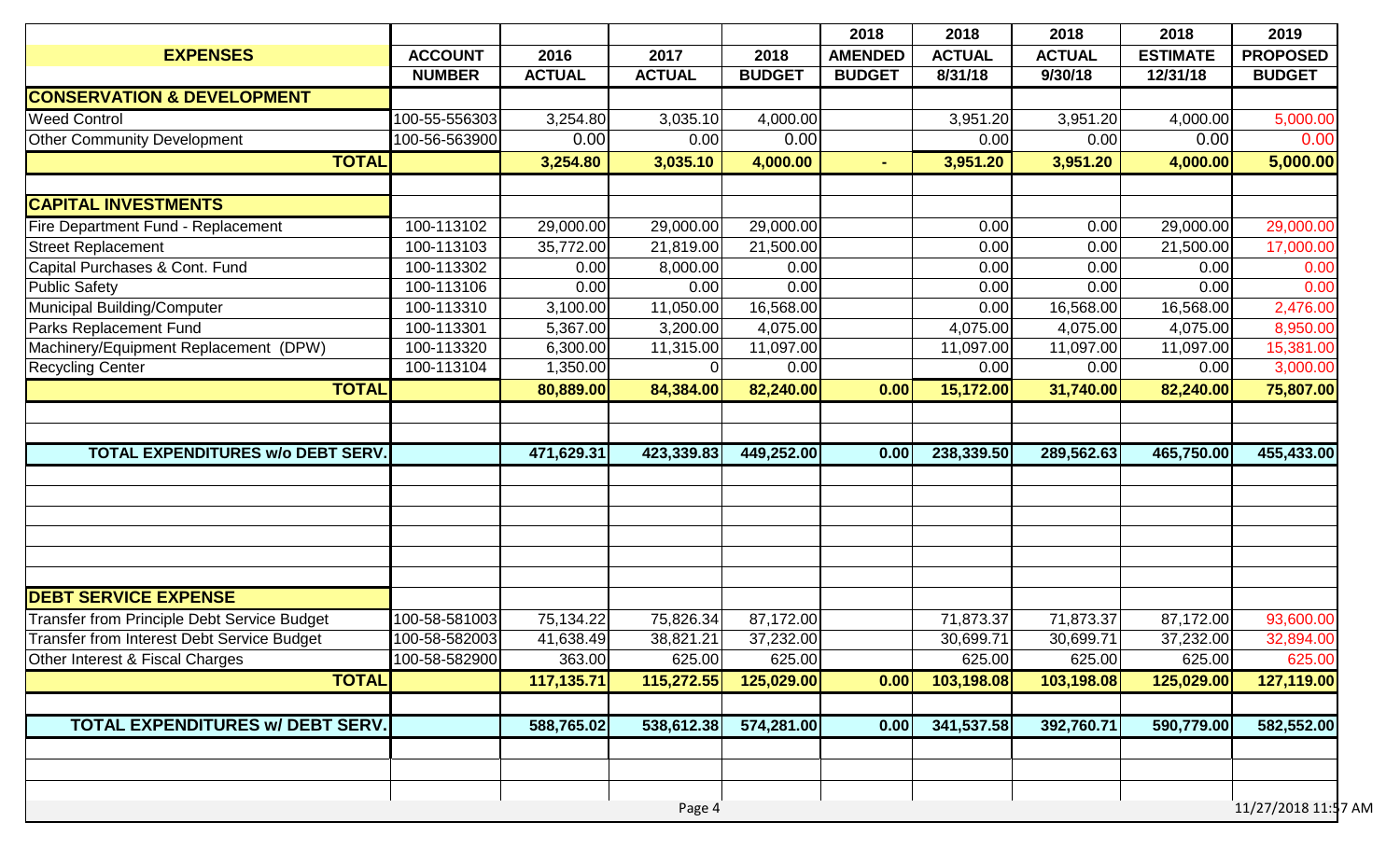|                                                    |                |               |               |               | 2018           | 2018          | 2018          | 2018            | 2019                |
|----------------------------------------------------|----------------|---------------|---------------|---------------|----------------|---------------|---------------|-----------------|---------------------|
| <b>EXPENSES</b>                                    | <b>ACCOUNT</b> | 2016          | 2017          | 2018          | <b>AMENDED</b> | <b>ACTUAL</b> | <b>ACTUAL</b> | <b>ESTIMATE</b> | <b>PROPOSED</b>     |
|                                                    | <b>NUMBER</b>  | <b>ACTUAL</b> | <b>ACTUAL</b> | <b>BUDGET</b> | <b>BUDGET</b>  | 8/31/18       | 9/30/18       | 12/31/18        | <b>BUDGET</b>       |
| <b>CONSERVATION &amp; DEVELOPMENT</b>              |                |               |               |               |                |               |               |                 |                     |
| <b>Weed Control</b>                                | 100-55-556303  | 3,254.80      | 3,035.10      | 4,000.00      |                | 3,951.20      | 3,951.20      | 4,000.00        | 5,000.00            |
| <b>Other Community Development</b>                 | 100-56-563900  | 0.00          | 0.00          | 0.00          |                | 0.00          | 0.00          | 0.00            | 0.00                |
| <b>TOTAL</b>                                       |                | 3,254.80      | 3,035.10      | 4,000.00      | $\blacksquare$ | 3,951.20      | 3,951.20      | 4,000.00        | 5,000.00            |
|                                                    |                |               |               |               |                |               |               |                 |                     |
| <b>CAPITAL INVESTMENTS</b>                         |                |               |               |               |                |               |               |                 |                     |
| Fire Department Fund - Replacement                 | 100-113102     | 29,000.00     | 29,000.00     | 29,000.00     |                | 0.00          | 0.00          | 29,000.00       | 29,000.00           |
| <b>Street Replacement</b>                          | 100-113103     | 35,772.00     | 21,819.00     | 21,500.00     |                | 0.00          | 0.00          | 21,500.00       | 17,000.00           |
| Capital Purchases & Cont. Fund                     | 100-113302     | 0.00          | 8,000.00      | 0.00          |                | 0.00          | 0.00          | 0.00            | 0.00                |
| <b>Public Safety</b>                               | 100-113106     | 0.00          | 0.00          | 0.00          |                | 0.00          | 0.00          | 0.00            | 0.00                |
| Municipal Building/Computer                        | 100-113310     | 3,100.00      | 11,050.00     | 16,568.00     |                | 0.00          | 16,568.00     | 16,568.00       | 2,476.00            |
| Parks Replacement Fund                             | 100-113301     | 5,367.00      | 3,200.00      | 4,075.00      |                | 4,075.00      | 4,075.00      | 4,075.00        | 8,950.00            |
| Machinery/Equipment Replacement (DPW)              | 100-113320     | 6,300.00      | 11,315.00     | 11,097.00     |                | 11,097.00     | 11,097.00     | 11,097.00       | 15,381.00           |
| <b>Recycling Center</b>                            | 100-113104     | 1,350.00      | $\Omega$      | 0.00          |                | 0.00          | 0.00          | 0.00            | 3,000.00            |
| <b>TOTAL</b>                                       |                | 80,889.00     | 84,384.00     | 82,240.00     | 0.00           | 15,172.00     | 31,740.00     | 82,240.00       | 75,807.00           |
|                                                    |                |               |               |               |                |               |               |                 |                     |
|                                                    |                |               |               |               |                |               |               |                 |                     |
| <b>TOTAL EXPENDITURES W/o DEBT SERV.</b>           |                | 471,629.31    | 423,339.83    | 449,252.00    | 0.00           | 238,339.50    | 289,562.63    | 465,750.00      | 455,433.00          |
|                                                    |                |               |               |               |                |               |               |                 |                     |
|                                                    |                |               |               |               |                |               |               |                 |                     |
|                                                    |                |               |               |               |                |               |               |                 |                     |
|                                                    |                |               |               |               |                |               |               |                 |                     |
|                                                    |                |               |               |               |                |               |               |                 |                     |
|                                                    |                |               |               |               |                |               |               |                 |                     |
| <b>DEBT SERVICE EXPENSE</b>                        |                |               |               |               |                |               |               |                 |                     |
| <b>Transfer from Principle Debt Service Budget</b> | 100-58-581003  | 75,134.22     | 75,826.34     | 87,172.00     |                | 71,873.37     | 71,873.37     | 87,172.00       | 93,600.00           |
| Transfer from Interest Debt Service Budget         | 100-58-582003  | 41,638.49     | 38,821.21     | 37,232.00     |                | 30,699.71     | 30,699.71     | 37,232.00       | 32,894.00           |
| Other Interest & Fiscal Charges                    | 100-58-582900  | 363.00        | 625.00        | 625.00        |                | 625.00        | 625.00        | 625.00          | 625.00              |
| <b>TOTAL</b>                                       |                | 117,135.71    | 115,272.55    | 125,029.00    | 0.00           | 103,198.08    | 103,198.08    | 125,029.00      | 127,119.00          |
|                                                    |                |               |               |               |                |               |               |                 |                     |
| TOTAL EXPENDITURES w/ DEBT SERV.                   |                | 588,765.02    | 538,612.38    | 574,281.00    | 0.00           | 341,537.58    | 392,760.71    | 590,779.00      | 582,552.00          |
|                                                    |                |               |               |               |                |               |               |                 |                     |
|                                                    |                |               |               |               |                |               |               |                 |                     |
|                                                    |                |               |               |               |                |               |               |                 |                     |
|                                                    |                |               | Page 4        |               |                |               |               |                 | 11/27/2018 11:57 AM |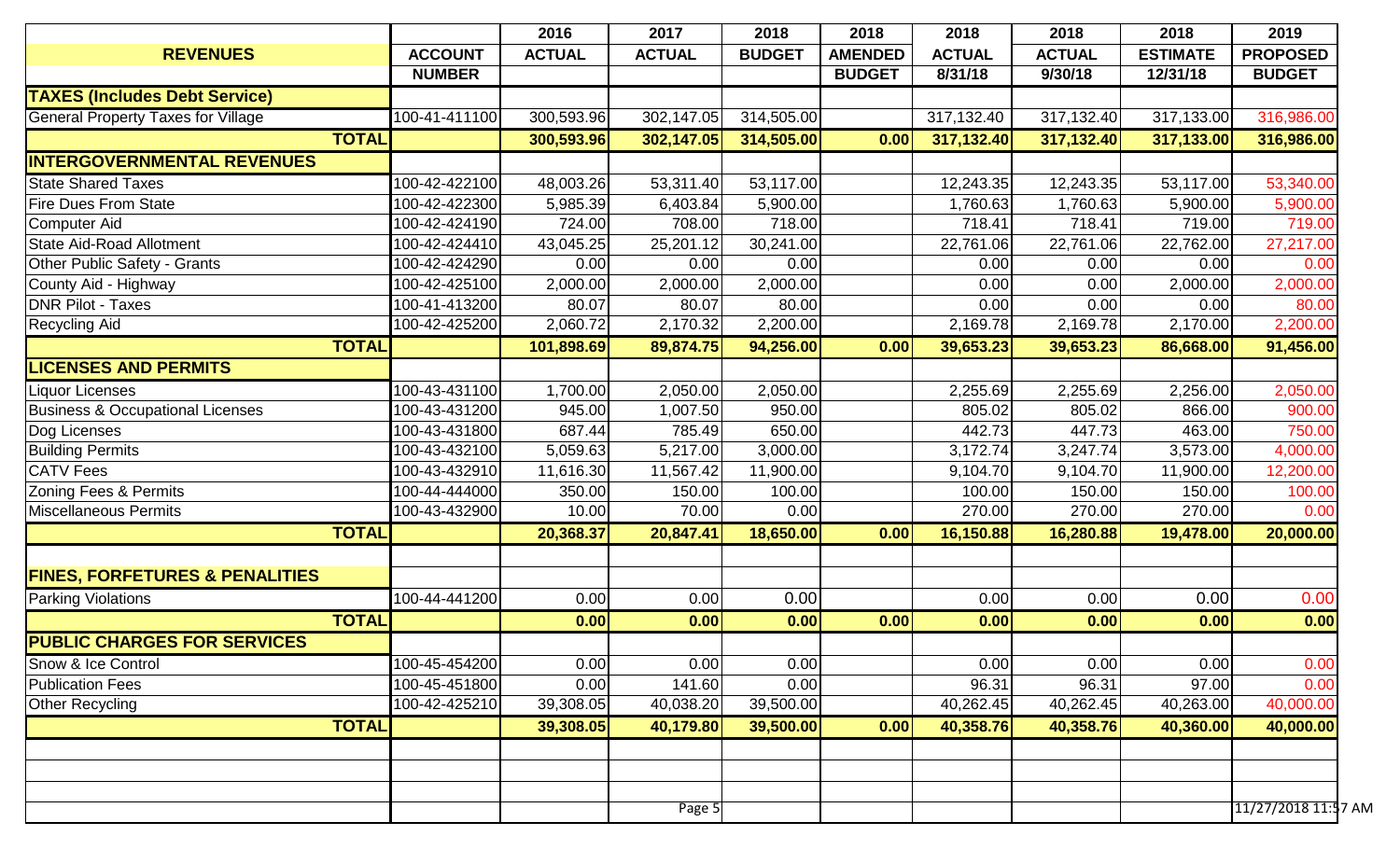|                                             |                | 2016          | 2017          | 2018          | 2018           | 2018          | 2018          | 2018            | 2019                |
|---------------------------------------------|----------------|---------------|---------------|---------------|----------------|---------------|---------------|-----------------|---------------------|
| <b>REVENUES</b>                             | <b>ACCOUNT</b> | <b>ACTUAL</b> | <b>ACTUAL</b> | <b>BUDGET</b> | <b>AMENDED</b> | <b>ACTUAL</b> | <b>ACTUAL</b> | <b>ESTIMATE</b> | <b>PROPOSED</b>     |
|                                             | <b>NUMBER</b>  |               |               |               | <b>BUDGET</b>  | 8/31/18       | 9/30/18       | 12/31/18        | <b>BUDGET</b>       |
| <b>TAXES (Includes Debt Service)</b>        |                |               |               |               |                |               |               |                 |                     |
| <b>General Property Taxes for Village</b>   | 100-41-411100  | 300,593.96    | 302,147.05    | 314,505.00    |                | 317,132.40    | 317,132.40    | 317,133.00      | 316,986.00          |
|                                             | <b>TOTAL</b>   | 300,593.96    | 302,147.05    | 314,505.00    | 0.00           | 317,132.40    | 317,132.40    | 317,133.00      | 316,986.00          |
| <b>INTERGOVERNMENTAL REVENUES</b>           |                |               |               |               |                |               |               |                 |                     |
| <b>State Shared Taxes</b>                   | 100-42-422100  | 48,003.26     | 53,311.40     | 53,117.00     |                | 12,243.35     | 12,243.35     | 53,117.00       | 53,340.00           |
| <b>Fire Dues From State</b>                 | 100-42-422300  | 5,985.39      | 6,403.84      | 5,900.00      |                | 1,760.63      | 1,760.63      | 5,900.00        | 5,900.00            |
| <b>Computer Aid</b>                         | 100-42-424190  | 724.00        | 708.00        | 718.00        |                | 718.41        | 718.41        | 719.00          | 719.00              |
| <b>State Aid-Road Allotment</b>             | 100-42-424410  | 43,045.25     | 25,201.12     | 30,241.00     |                | 22,761.06     | 22,761.06     | 22,762.00       | 27,217.00           |
| Other Public Safety - Grants                | 100-42-424290  | 0.00          | 0.00          | 0.00          |                | 0.00          | 0.00          | 0.00            | 0.00                |
| County Aid - Highway                        | 100-42-425100  | 2,000.00      | 2,000.00      | 2,000.00      |                | 0.00          | 0.00          | 2,000.00        | 2,000.00            |
| <b>DNR Pilot - Taxes</b>                    | 100-41-413200  | 80.07         | 80.07         | 80.00         |                | 0.00          | 0.00          | 0.00            | 80.00               |
| <b>Recycling Aid</b>                        | 100-42-425200  | 2,060.72      | 2,170.32      | 2,200.00      |                | 2,169.78      | 2,169.78      | 2,170.00        | 2,200.00            |
|                                             | <b>TOTAL</b>   | 101,898.69    | 89,874.75     | 94,256.00     | 0.00           | 39,653.23     | 39,653.23     | 86,668.00       | 91,456.00           |
| <b>LICENSES AND PERMITS</b>                 |                |               |               |               |                |               |               |                 |                     |
| <b>Liquor Licenses</b>                      | 100-43-431100  | 1,700.00      | 2,050.00      | 2,050.00      |                | 2,255.69      | 2,255.69      | 2,256.00        | 2,050.00            |
| <b>Business &amp; Occupational Licenses</b> | 100-43-431200  | 945.00        | 1,007.50      | 950.00        |                | 805.02        | 805.02        | 866.00          | 900.00              |
| Dog Licenses                                | 100-43-431800  | 687.44        | 785.49        | 650.00        |                | 442.73        | 447.73        | 463.00          | 750.00              |
| <b>Building Permits</b>                     | 100-43-432100  | 5,059.63      | 5,217.00      | 3,000.00      |                | 3,172.74      | 3,247.74      | 3,573.00        | 4,000.00            |
| <b>CATV Fees</b>                            | 100-43-432910  | 11,616.30     | 11,567.42     | 11,900.00     |                | 9,104.70      | 9,104.70      | 11,900.00       | 12,200.00           |
| Zoning Fees & Permits                       | 100-44-444000  | 350.00        | 150.00        | 100.00        |                | 100.00        | 150.00        | 150.00          | 100.00              |
| <b>Miscellaneous Permits</b>                | 100-43-432900  | 10.00         | 70.00         | 0.00          |                | 270.00        | 270.00        | 270.00          | 0.00                |
|                                             | <b>TOTAL</b>   | 20,368.37     | 20,847.41     | 18,650.00     | 0.00           | 16,150.88     | 16,280.88     | 19,478.00       | 20,000.00           |
|                                             |                |               |               |               |                |               |               |                 |                     |
| <b>FINES, FORFETURES &amp; PENALITIES</b>   |                |               |               |               |                |               |               |                 |                     |
| <b>Parking Violations</b>                   | 100-44-441200  | 0.00          | 0.00          | 0.00          |                | 0.00          | 0.00          | 0.00            | 0.00                |
|                                             | <b>TOTAL</b>   | 0.00          | 0.00          | 0.00          | 0.00           | 0.00          | 0.00          | 0.00            | 0.00                |
| <b>PUBLIC CHARGES FOR SERVICES</b>          |                |               |               |               |                |               |               |                 |                     |
| Snow & Ice Control                          | 100-45-454200  | 0.00          | 0.00          | 0.00          |                | 0.00          | 0.00          | 0.00            | 0.00                |
| <b>Publication Fees</b>                     | 100-45-451800  | 0.00          | 141.60        | 0.00          |                | 96.31         | 96.31         | 97.00           | 0.00                |
| Other Recycling                             | 100-42-425210  | 39,308.05     | 40,038.20     | 39,500.00     |                | 40,262.45     | 40,262.45     | 40,263.00       | 40,000.00           |
|                                             | <b>TOTAL</b>   | 39,308.05     | 40,179.80     | 39,500.00     | 0.00           | 40,358.76     | 40,358.76     | 40,360.00       | 40,000.00           |
|                                             |                |               |               |               |                |               |               |                 |                     |
|                                             |                |               |               |               |                |               |               |                 |                     |
|                                             |                |               |               |               |                |               |               |                 |                     |
|                                             |                |               | Page 5        |               |                |               |               |                 | 11/27/2018 11:57 AM |